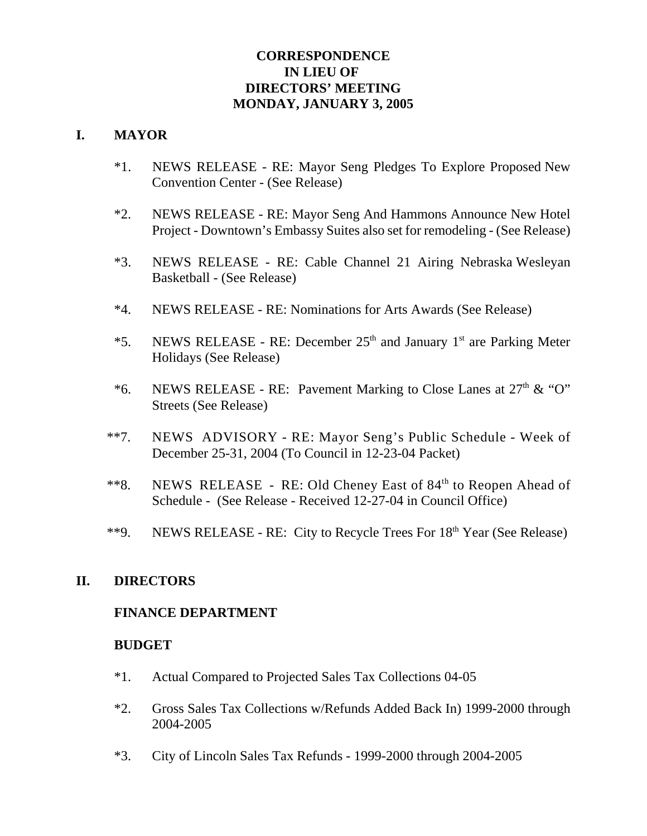## **CORRESPONDENCE IN LIEU OF DIRECTORS' MEETING MONDAY, JANUARY 3, 2005**

#### **I. MAYOR**

- \*1. NEWS RELEASE RE: Mayor Seng Pledges To Explore Proposed New Convention Center - (See Release)
- \*2. NEWS RELEASE RE: Mayor Seng And Hammons Announce New Hotel Project - Downtown's Embassy Suites also set for remodeling - (See Release)
- \*3. NEWS RELEASE RE: Cable Channel 21 Airing Nebraska Wesleyan Basketball - (See Release)
- \*4. NEWS RELEASE RE: Nominations for Arts Awards (See Release)
- \*5. NEWS RELEASE RE: December  $25<sup>th</sup>$  and January 1<sup>st</sup> are Parking Meter Holidays (See Release)
- \*6. NEWS RELEASE RE: Pavement Marking to Close Lanes at  $27<sup>th</sup>$  & "O" Streets (See Release)
- \*\*7. NEWS ADVISORY RE: Mayor Seng's Public Schedule Week of December 25-31, 2004 (To Council in 12-23-04 Packet)
- \*\*8. NEWS RELEASE RE: Old Cheney East of 84<sup>th</sup> to Reopen Ahead of Schedule - (See Release - Received 12-27-04 in Council Office)
- \*\*9. NEWS RELEASE RE: City to Recycle Trees For  $18<sup>th</sup>$  Year (See Release)

#### **II. DIRECTORS**

#### **FINANCE DEPARTMENT**

#### **BUDGET**

- \*1. Actual Compared to Projected Sales Tax Collections 04-05
- \*2. Gross Sales Tax Collections w/Refunds Added Back In) 1999-2000 through 2004-2005
- \*3. City of Lincoln Sales Tax Refunds 1999-2000 through 2004-2005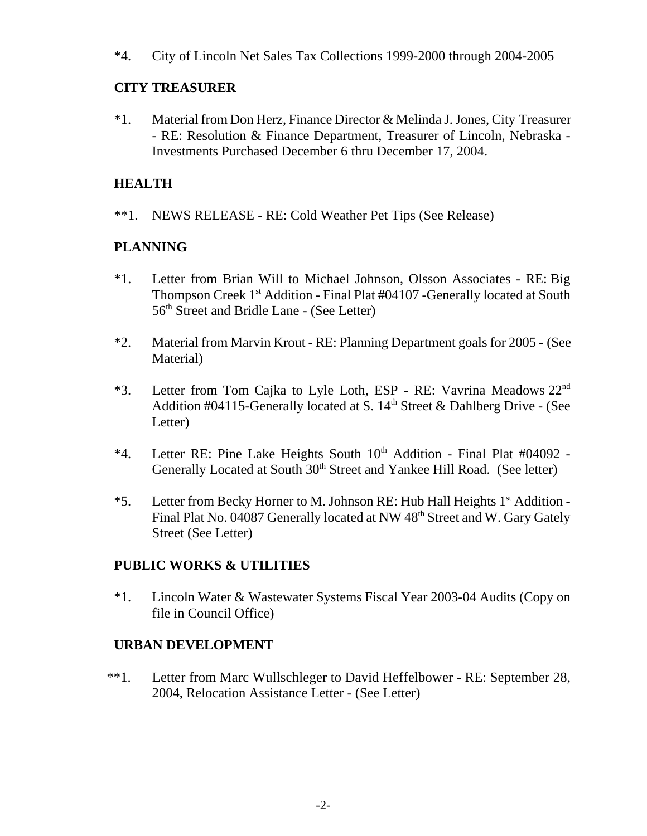\*4. City of Lincoln Net Sales Tax Collections 1999-2000 through 2004-2005

## **CITY TREASURER**

\*1. Material from Don Herz, Finance Director & Melinda J. Jones, City Treasurer - RE: Resolution & Finance Department, Treasurer of Lincoln, Nebraska - Investments Purchased December 6 thru December 17, 2004.

## **HEALTH**

\*\*1. NEWS RELEASE - RE: Cold Weather Pet Tips (See Release)

## **PLANNING**

- \*1. Letter from Brian Will to Michael Johnson, Olsson Associates RE: Big Thompson Creek 1<sup>st</sup> Addition - Final Plat #04107 -Generally located at South 56th Street and Bridle Lane - (See Letter)
- \*2. Material from Marvin Krout RE: Planning Department goals for 2005 (See Material)
- \*3. Letter from Tom Cajka to Lyle Loth, ESP RE: Vavrina Meadows  $22<sup>nd</sup>$ Addition #04115-Generally located at S.  $14<sup>th</sup>$  Street & Dahlberg Drive - (See Letter)
- $*4$ . Letter RE: Pine Lake Heights South  $10<sup>th</sup>$  Addition Final Plat #04092 -Generally Located at South 30<sup>th</sup> Street and Yankee Hill Road. (See letter)
- \*5. Letter from Becky Horner to M. Johnson RE: Hub Hall Heights 1<sup>st</sup> Addition -Final Plat No. 04087 Generally located at NW 48<sup>th</sup> Street and W. Gary Gately Street (See Letter)

### **PUBLIC WORKS & UTILITIES**

\*1. Lincoln Water & Wastewater Systems Fiscal Year 2003-04 Audits (Copy on file in Council Office)

# **URBAN DEVELOPMENT**

\*\*1. Letter from Marc Wullschleger to David Heffelbower - RE: September 28, 2004, Relocation Assistance Letter - (See Letter)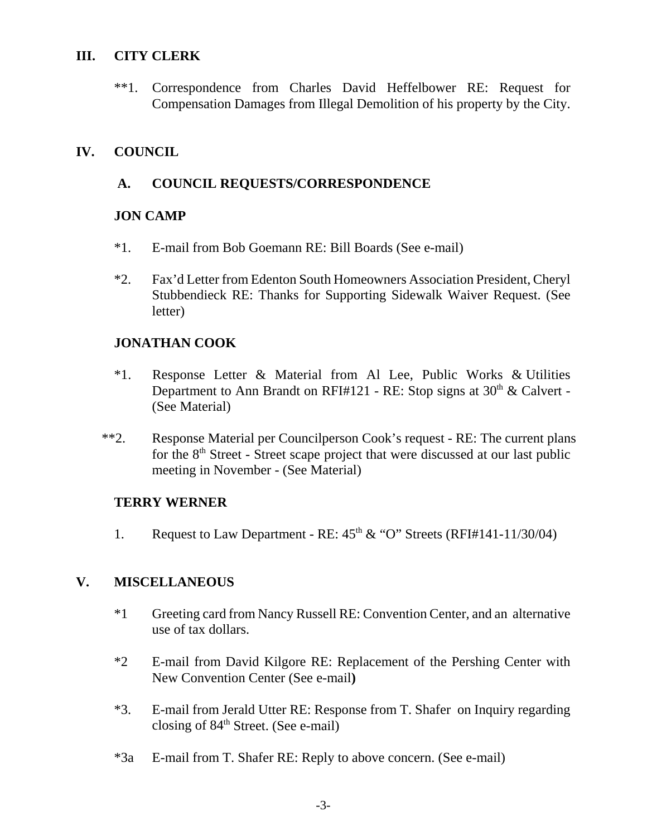### **III. CITY CLERK**

\*\*1. Correspondence from Charles David Heffelbower RE: Request for Compensation Damages from Illegal Demolition of his property by the City.

### **IV. COUNCIL**

#### **A. COUNCIL REQUESTS/CORRESPONDENCE**

#### **JON CAMP**

- \*1. E-mail from Bob Goemann RE: Bill Boards (See e-mail)
- \*2. Fax'd Letter from Edenton South Homeowners Association President, Cheryl Stubbendieck RE: Thanks for Supporting Sidewalk Waiver Request. (See letter)

### **JONATHAN COOK**

- \*1. Response Letter & Material from Al Lee, Public Works & Utilities Department to Ann Brandt on RFI#121 - RE: Stop signs at  $30<sup>th</sup>$  & Calvert -(See Material)
- \*\*2. Response Material per Councilperson Cook's request RE: The current plans for the  $8<sup>th</sup>$  Street - Street scape project that were discussed at our last public meeting in November - (See Material)

### **TERRY WERNER**

1. Request to Law Department - RE:  $45<sup>th</sup> \& ^\circ$  "O" Streets (RFI#141-11/30/04)

### **V. MISCELLANEOUS**

- \*1 Greeting card from Nancy Russell RE: Convention Center, and an alternative use of tax dollars.
- \*2 E-mail from David Kilgore RE: Replacement of the Pershing Center with New Convention Center (See e-mail**)**
- \*3. E-mail from Jerald Utter RE: Response from T. Shafer on Inquiry regarding closing of 84th Street. (See e-mail)
- \*3a E-mail from T. Shafer RE: Reply to above concern. (See e-mail)